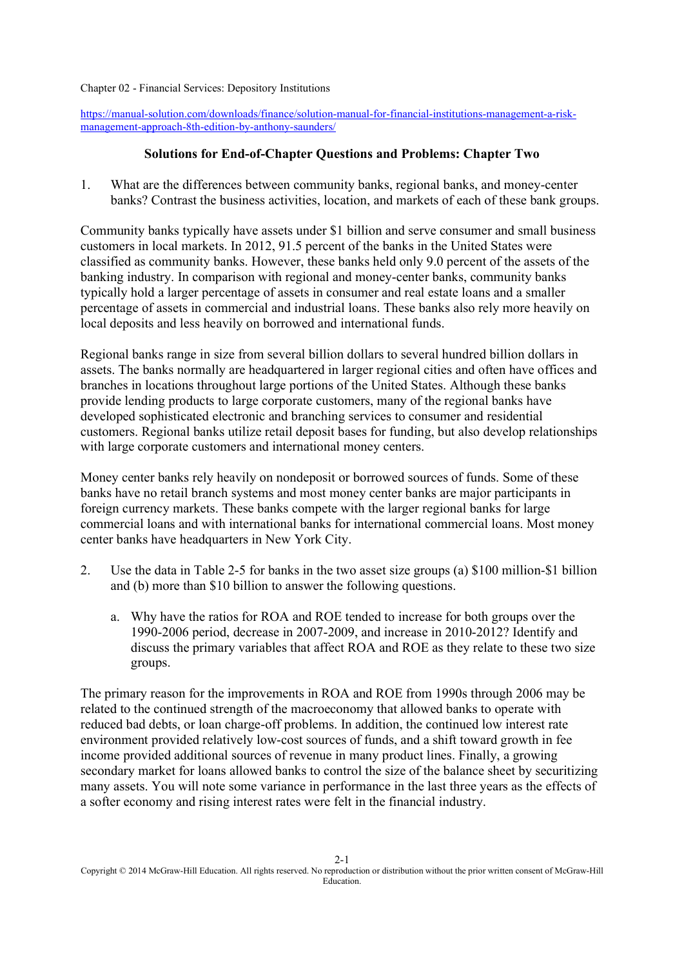https://manual-solution.com/downloads/finance/solution-manual-for-financial-institutions-management-a-riskmanagement-approach-8th-edition-by-anthony-saunders/

# Solutions for End-of-Chapter Questions and Problems: Chapter Two

1. What are the differences between community banks, regional banks, and money-center banks? Contrast the business activities, location, and markets of each of these bank groups.

Community banks typically have assets under \$1 billion and serve consumer and small business customers in local markets. In 2012, 91.5 percent of the banks in the United States were classified as community banks. However, these banks held only 9.0 percent of the assets of the banking industry. In comparison with regional and money-center banks, community banks typically hold a larger percentage of assets in consumer and real estate loans and a smaller percentage of assets in commercial and industrial loans. These banks also rely more heavily on local deposits and less heavily on borrowed and international funds.

Regional banks range in size from several billion dollars to several hundred billion dollars in assets. The banks normally are headquartered in larger regional cities and often have offices and branches in locations throughout large portions of the United States. Although these banks provide lending products to large corporate customers, many of the regional banks have developed sophisticated electronic and branching services to consumer and residential customers. Regional banks utilize retail deposit bases for funding, but also develop relationships with large corporate customers and international money centers.

Money center banks rely heavily on nondeposit or borrowed sources of funds. Some of these banks have no retail branch systems and most money center banks are major participants in foreign currency markets. These banks compete with the larger regional banks for large commercial loans and with international banks for international commercial loans. Most money center banks have headquarters in New York City.

- 2. Use the data in Table 2-5 for banks in the two asset size groups (a) \$100 million-\$1 billion and (b) more than \$10 billion to answer the following questions.
	- a. Why have the ratios for ROA and ROE tended to increase for both groups over the 1990-2006 period, decrease in 2007-2009, and increase in 2010-2012? Identify and discuss the primary variables that affect ROA and ROE as they relate to these two size groups.

The primary reason for the improvements in ROA and ROE from 1990s through 2006 may be related to the continued strength of the macroeconomy that allowed banks to operate with reduced bad debts, or loan charge-off problems. In addition, the continued low interest rate environment provided relatively low-cost sources of funds, and a shift toward growth in fee income provided additional sources of revenue in many product lines. Finally, a growing secondary market for loans allowed banks to control the size of the balance sheet by securitizing many assets. You will note some variance in performance in the last three years as the effects of a softer economy and rising interest rates were felt in the financial industry.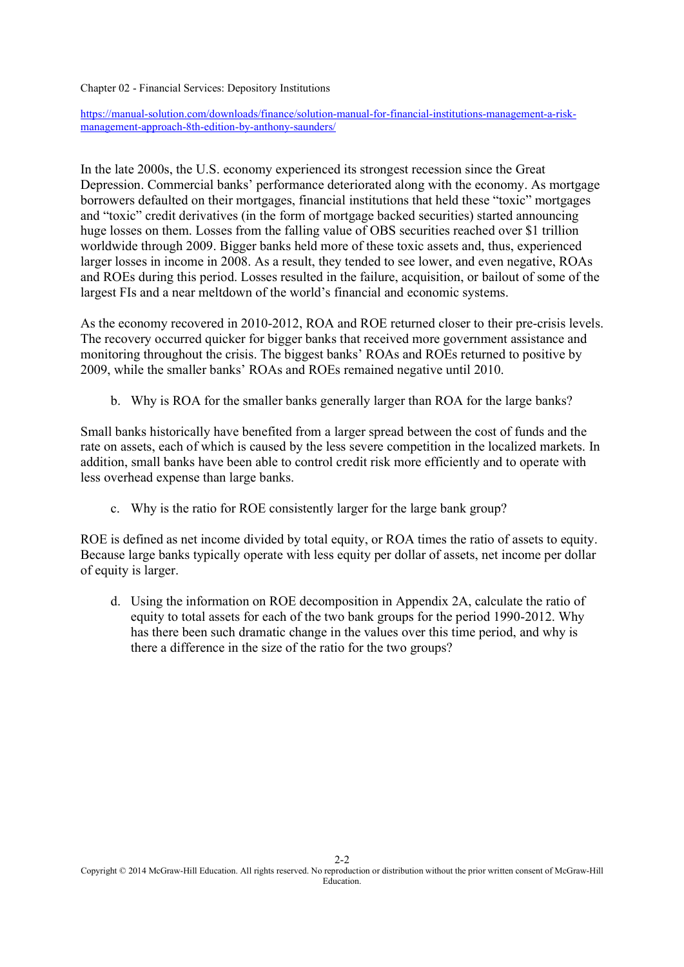https://manual-solution.com/downloads/finance/solution-manual-for-financial-institutions-management-a-riskmanagement-approach-8th-edition-by-anthony-saunders/

In the late 2000s, the U.S. economy experienced its strongest recession since the Great Depression. Commercial banks' performance deteriorated along with the economy. As mortgage borrowers defaulted on their mortgages, financial institutions that held these "toxic" mortgages and "toxic" credit derivatives (in the form of mortgage backed securities) started announcing huge losses on them. Losses from the falling value of OBS securities reached over \$1 trillion worldwide through 2009. Bigger banks held more of these toxic assets and, thus, experienced larger losses in income in 2008. As a result, they tended to see lower, and even negative, ROAs and ROEs during this period. Losses resulted in the failure, acquisition, or bailout of some of the largest FIs and a near meltdown of the world's financial and economic systems.

As the economy recovered in 2010-2012, ROA and ROE returned closer to their pre-crisis levels. The recovery occurred quicker for bigger banks that received more government assistance and monitoring throughout the crisis. The biggest banks' ROAs and ROEs returned to positive by 2009, while the smaller banks' ROAs and ROEs remained negative until 2010.

b. Why is ROA for the smaller banks generally larger than ROA for the large banks?

Small banks historically have benefited from a larger spread between the cost of funds and the rate on assets, each of which is caused by the less severe competition in the localized markets. In addition, small banks have been able to control credit risk more efficiently and to operate with less overhead expense than large banks.

c. Why is the ratio for ROE consistently larger for the large bank group?

ROE is defined as net income divided by total equity, or ROA times the ratio of assets to equity. Because large banks typically operate with less equity per dollar of assets, net income per dollar of equity is larger.

 d. Using the information on ROE decomposition in Appendix 2A, calculate the ratio of equity to total assets for each of the two bank groups for the period 1990-2012. Why has there been such dramatic change in the values over this time period, and why is there a difference in the size of the ratio for the two groups?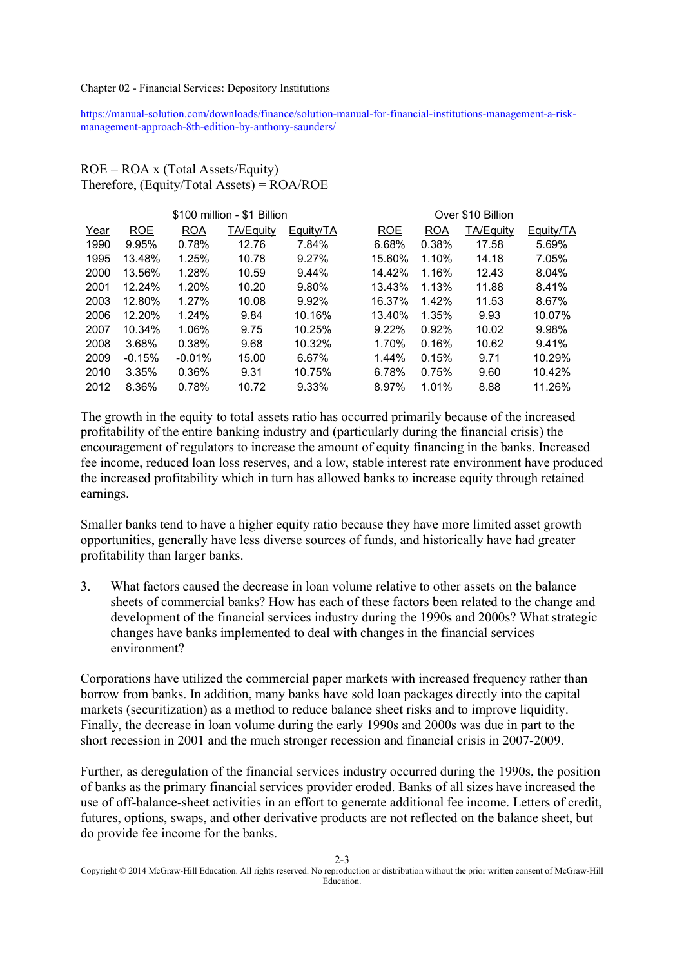https://manual-solution.com/downloads/finance/solution-manual-for-financial-institutions-management-a-riskmanagement-approach-8th-edition-by-anthony-saunders/

# $ROE = ROA \times (Total Assets/Equity)$ Therefore, (Equity/Total Assets) = ROA/ROE

|             | \$100 million - \$1 Billion |            |           | Over \$10 Billion |            |            |                  |           |
|-------------|-----------------------------|------------|-----------|-------------------|------------|------------|------------------|-----------|
| <u>Year</u> | <b>ROE</b>                  | <b>ROA</b> | TA/Equity | Equity/TA         | <b>ROE</b> | <b>ROA</b> | <b>TA/Equity</b> | Equity/TA |
| 1990        | 9.95%                       | 0.78%      | 12.76     | 7.84%             | 6.68%      | 0.38%      | 17.58            | 5.69%     |
| 1995        | 13.48%                      | 1.25%      | 10.78     | 9.27%             | 15.60%     | 1.10%      | 14.18            | 7.05%     |
| 2000        | 13.56%                      | 1.28%      | 10.59     | 9.44%             | 14.42%     | 1.16%      | 12.43            | 8.04%     |
| 2001        | 12.24%                      | 1.20%      | 10.20     | 9.80%             | 13.43%     | 1.13%      | 11.88            | 8.41%     |
| 2003        | 12.80%                      | 1.27%      | 10.08     | 9.92%             | 16.37%     | 1.42%      | 11.53            | 8.67%     |
| 2006        | 12.20%                      | 1.24%      | 9.84      | 10.16%            | 13.40%     | 1.35%      | 9.93             | 10.07%    |
| 2007        | 10.34%                      | 1.06%      | 9.75      | 10.25%            | 9.22%      | 0.92%      | 10.02            | 9.98%     |
| 2008        | 3.68%                       | 0.38%      | 9.68      | 10.32%            | 1.70%      | 0.16%      | 10.62            | 9.41%     |
| 2009        | $-0.15%$                    | $-0.01%$   | 15.00     | 6.67%             | 1.44%      | 0.15%      | 9.71             | 10.29%    |
| 2010        | 3.35%                       | 0.36%      | 9.31      | 10.75%            | 6.78%      | 0.75%      | 9.60             | 10.42%    |
| 2012        | 8.36%                       | 0.78%      | 10.72     | 9.33%             | 8.97%      | 1.01%      | 8.88             | 11.26%    |
|             |                             |            |           |                   |            |            |                  |           |

The growth in the equity to total assets ratio has occurred primarily because of the increased profitability of the entire banking industry and (particularly during the financial crisis) the encouragement of regulators to increase the amount of equity financing in the banks. Increased fee income, reduced loan loss reserves, and a low, stable interest rate environment have produced the increased profitability which in turn has allowed banks to increase equity through retained earnings.

Smaller banks tend to have a higher equity ratio because they have more limited asset growth opportunities, generally have less diverse sources of funds, and historically have had greater profitability than larger banks.

3. What factors caused the decrease in loan volume relative to other assets on the balance sheets of commercial banks? How has each of these factors been related to the change and development of the financial services industry during the 1990s and 2000s? What strategic changes have banks implemented to deal with changes in the financial services environment?

Corporations have utilized the commercial paper markets with increased frequency rather than borrow from banks. In addition, many banks have sold loan packages directly into the capital markets (securitization) as a method to reduce balance sheet risks and to improve liquidity. Finally, the decrease in loan volume during the early 1990s and 2000s was due in part to the short recession in 2001 and the much stronger recession and financial crisis in 2007-2009.

Further, as deregulation of the financial services industry occurred during the 1990s, the position of banks as the primary financial services provider eroded. Banks of all sizes have increased the use of off-balance-sheet activities in an effort to generate additional fee income. Letters of credit, futures, options, swaps, and other derivative products are not reflected on the balance sheet, but do provide fee income for the banks.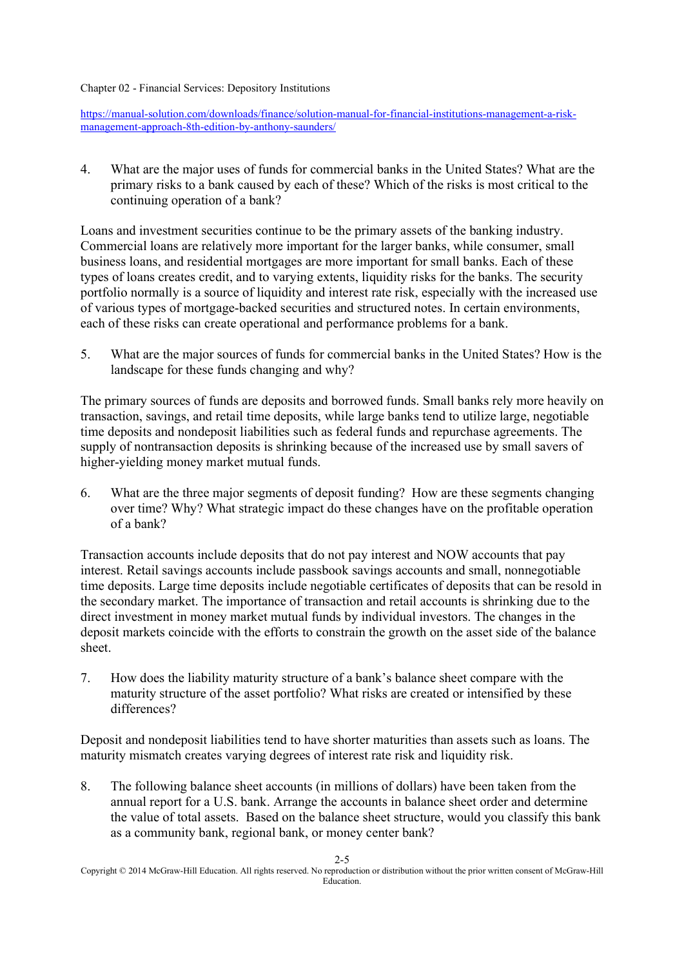https://manual-solution.com/downloads/finance/solution-manual-for-financial-institutions-management-a-riskmanagement-approach-8th-edition-by-anthony-saunders/

4. What are the major uses of funds for commercial banks in the United States? What are the primary risks to a bank caused by each of these? Which of the risks is most critical to the continuing operation of a bank?

Loans and investment securities continue to be the primary assets of the banking industry. Commercial loans are relatively more important for the larger banks, while consumer, small business loans, and residential mortgages are more important for small banks. Each of these types of loans creates credit, and to varying extents, liquidity risks for the banks. The security portfolio normally is a source of liquidity and interest rate risk, especially with the increased use of various types of mortgage-backed securities and structured notes. In certain environments, each of these risks can create operational and performance problems for a bank.

5. What are the major sources of funds for commercial banks in the United States? How is the landscape for these funds changing and why?

The primary sources of funds are deposits and borrowed funds. Small banks rely more heavily on transaction, savings, and retail time deposits, while large banks tend to utilize large, negotiable time deposits and nondeposit liabilities such as federal funds and repurchase agreements. The supply of nontransaction deposits is shrinking because of the increased use by small savers of higher-yielding money market mutual funds.

6. What are the three major segments of deposit funding? How are these segments changing over time? Why? What strategic impact do these changes have on the profitable operation of a bank?

Transaction accounts include deposits that do not pay interest and NOW accounts that pay interest. Retail savings accounts include passbook savings accounts and small, nonnegotiable time deposits. Large time deposits include negotiable certificates of deposits that can be resold in the secondary market. The importance of transaction and retail accounts is shrinking due to the direct investment in money market mutual funds by individual investors. The changes in the deposit markets coincide with the efforts to constrain the growth on the asset side of the balance sheet.

7. How does the liability maturity structure of a bank's balance sheet compare with the maturity structure of the asset portfolio? What risks are created or intensified by these differences?

Deposit and nondeposit liabilities tend to have shorter maturities than assets such as loans. The maturity mismatch creates varying degrees of interest rate risk and liquidity risk.

8. The following balance sheet accounts (in millions of dollars) have been taken from the annual report for a U.S. bank. Arrange the accounts in balance sheet order and determine the value of total assets. Based on the balance sheet structure, would you classify this bank as a community bank, regional bank, or money center bank?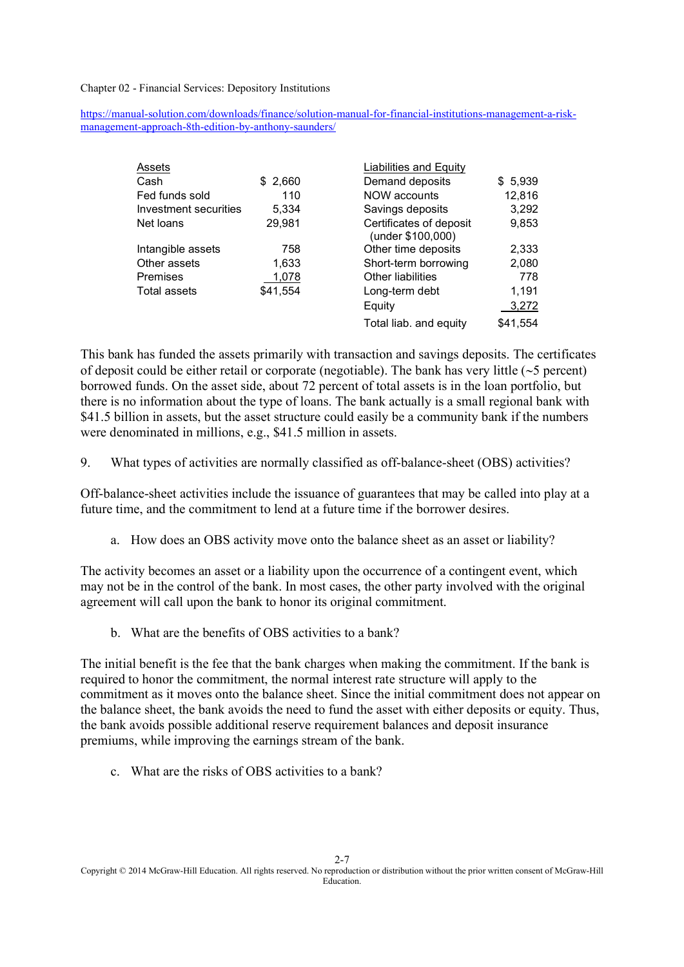https://manual-solution.com/downloads/finance/solution-manual-for-financial-institutions-management-a-riskmanagement-approach-8th-edition-by-anthony-saunders/

| Assets                |          | <b>Liabilities and Equity</b>                |          |
|-----------------------|----------|----------------------------------------------|----------|
| Cash                  | \$2,660  | Demand deposits                              | \$5,939  |
| Fed funds sold        | 110      | NOW accounts                                 | 12,816   |
| Investment securities | 5,334    | Savings deposits                             | 3,292    |
| Net loans             | 29,981   | Certificates of deposit<br>(under \$100,000) | 9,853    |
| Intangible assets     | 758      | Other time deposits                          | 2,333    |
| Other assets          | 1,633    | Short-term borrowing                         | 2,080    |
| <b>Premises</b>       | 1,078    | <b>Other liabilities</b>                     | 778      |
| Total assets          | \$41,554 | Long-term debt                               | 1,191    |
|                       |          | Equity                                       | 3,272    |
|                       |          | Total liab. and equity                       | \$41,554 |
|                       |          |                                              |          |

This bank has funded the assets primarily with transaction and savings deposits. The certificates of deposit could be either retail or corporate (negotiable). The bank has very little  $(\sim 5$  percent) borrowed funds. On the asset side, about 72 percent of total assets is in the loan portfolio, but there is no information about the type of loans. The bank actually is a small regional bank with \$41.5 billion in assets, but the asset structure could easily be a community bank if the numbers were denominated in millions, e.g., \$41.5 million in assets.

9. What types of activities are normally classified as off-balance-sheet (OBS) activities?

Off-balance-sheet activities include the issuance of guarantees that may be called into play at a future time, and the commitment to lend at a future time if the borrower desires.

a. How does an OBS activity move onto the balance sheet as an asset or liability?

The activity becomes an asset or a liability upon the occurrence of a contingent event, which may not be in the control of the bank. In most cases, the other party involved with the original agreement will call upon the bank to honor its original commitment.

b. What are the benefits of OBS activities to a bank?

The initial benefit is the fee that the bank charges when making the commitment. If the bank is required to honor the commitment, the normal interest rate structure will apply to the commitment as it moves onto the balance sheet. Since the initial commitment does not appear on the balance sheet, the bank avoids the need to fund the asset with either deposits or equity. Thus, the bank avoids possible additional reserve requirement balances and deposit insurance premiums, while improving the earnings stream of the bank.

c. What are the risks of OBS activities to a bank?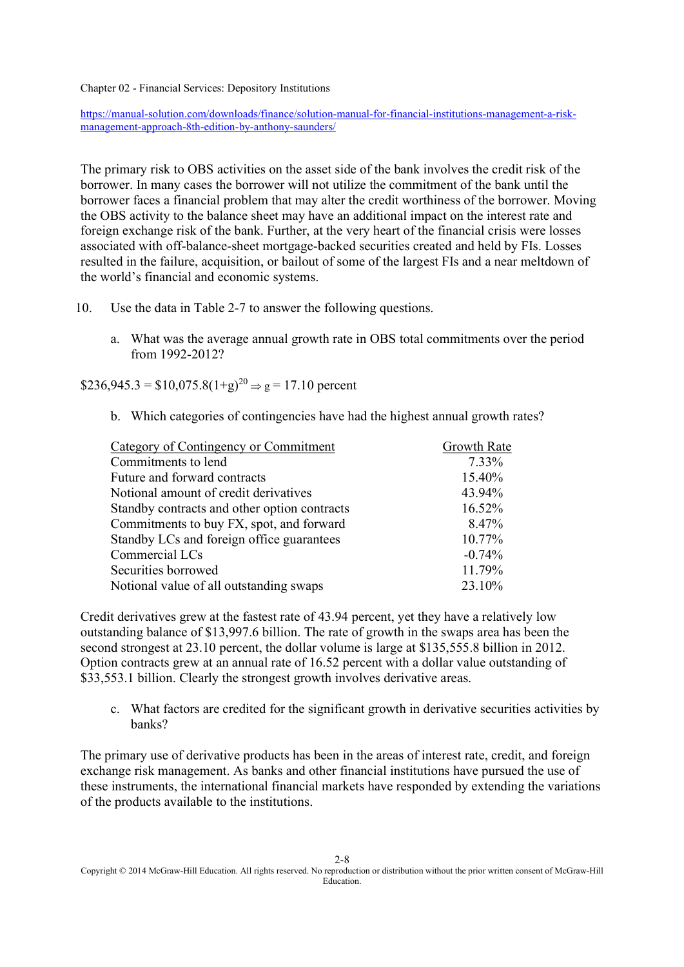https://manual-solution.com/downloads/finance/solution-manual-for-financial-institutions-management-a-riskmanagement-approach-8th-edition-by-anthony-saunders/

The primary risk to OBS activities on the asset side of the bank involves the credit risk of the borrower. In many cases the borrower will not utilize the commitment of the bank until the borrower faces a financial problem that may alter the credit worthiness of the borrower. Moving the OBS activity to the balance sheet may have an additional impact on the interest rate and foreign exchange risk of the bank. Further, at the very heart of the financial crisis were losses associated with off-balance-sheet mortgage-backed securities created and held by FIs. Losses resulted in the failure, acquisition, or bailout of some of the largest FIs and a near meltdown of the world's financial and economic systems.

- 10. Use the data in Table 2-7 to answer the following questions.
	- a. What was the average annual growth rate in OBS total commitments over the period from 1992-2012?

 $$236,945.3 = $10,075.8(1+g)^{20} \Rightarrow g = 17.10$  percent

b. Which categories of contingencies have had the highest annual growth rates?

| Category of Contingency or Commitment        | Growth Rate |
|----------------------------------------------|-------------|
| Commitments to lend                          | 7.33%       |
| Future and forward contracts                 | 15.40%      |
| Notional amount of credit derivatives        | 43.94%      |
| Standby contracts and other option contracts | 16.52%      |
| Commitments to buy FX, spot, and forward     | 8.47%       |
| Standby LCs and foreign office guarantees    | 10.77%      |
| Commercial LCs                               | $-0.74%$    |
| Securities borrowed                          | 11.79%      |
| Notional value of all outstanding swaps      | 23.10%      |

Credit derivatives grew at the fastest rate of 43.94 percent, yet they have a relatively low outstanding balance of \$13,997.6 billion. The rate of growth in the swaps area has been the second strongest at 23.10 percent, the dollar volume is large at \$135,555.8 billion in 2012. Option contracts grew at an annual rate of 16.52 percent with a dollar value outstanding of \$33,553.1 billion. Clearly the strongest growth involves derivative areas.

c. What factors are credited for the significant growth in derivative securities activities by banks?

The primary use of derivative products has been in the areas of interest rate, credit, and foreign exchange risk management. As banks and other financial institutions have pursued the use of these instruments, the international financial markets have responded by extending the variations of the products available to the institutions.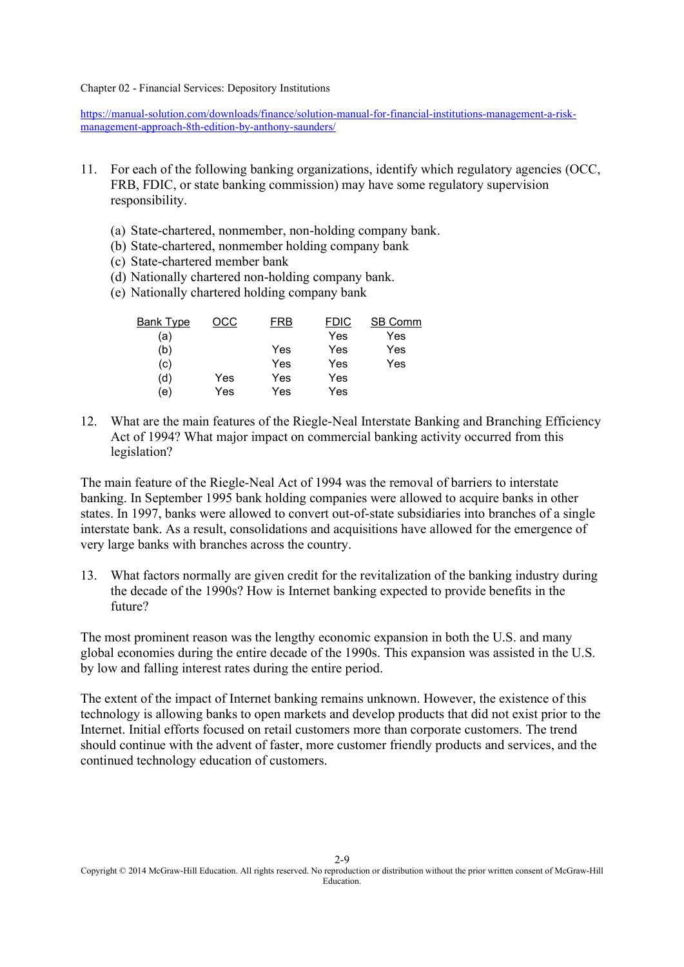https://manual-solution.com/downloads/finance/solution-manual-for-financial-institutions-management-a-riskmanagement-approach-8th-edition-by-anthony-saunders/

- 11. For each of the following banking organizations, identify which regulatory agencies (OCC, FRB, FDIC, or state banking commission) may have some regulatory supervision responsibility.
	- (a) State-chartered, nonmember, non-holding company bank.
	- (b) State-chartered, nonmember holding company bank
	- (c) State-chartered member bank
	- (d) Nationally chartered non-holding company bank.
	- (e) Nationally chartered holding company bank

| Bank Type | DCC | FRB | <b>FDIC</b> | SB Comm |
|-----------|-----|-----|-------------|---------|
| (a)       |     |     | Yes         | Yes     |
| (b)       |     | Yes | Yes         | Yes     |
| (c)       |     | Yes | Yes         | Yes     |
| (d)       | Yes | Yes | Yes         |         |
| (e)       | Yes | Yes | Yes         |         |

12. What are the main features of the Riegle-Neal Interstate Banking and Branching Efficiency Act of 1994? What major impact on commercial banking activity occurred from this legislation?

The main feature of the Riegle-Neal Act of 1994 was the removal of barriers to interstate banking. In September 1995 bank holding companies were allowed to acquire banks in other states. In 1997, banks were allowed to convert out-of-state subsidiaries into branches of a single interstate bank. As a result, consolidations and acquisitions have allowed for the emergence of very large banks with branches across the country.

13. What factors normally are given credit for the revitalization of the banking industry during the decade of the 1990s? How is Internet banking expected to provide benefits in the future?

The most prominent reason was the lengthy economic expansion in both the U.S. and many global economies during the entire decade of the 1990s. This expansion was assisted in the U.S. by low and falling interest rates during the entire period.

The extent of the impact of Internet banking remains unknown. However, the existence of this technology is allowing banks to open markets and develop products that did not exist prior to the Internet. Initial efforts focused on retail customers more than corporate customers. The trend should continue with the advent of faster, more customer friendly products and services, and the continued technology education of customers.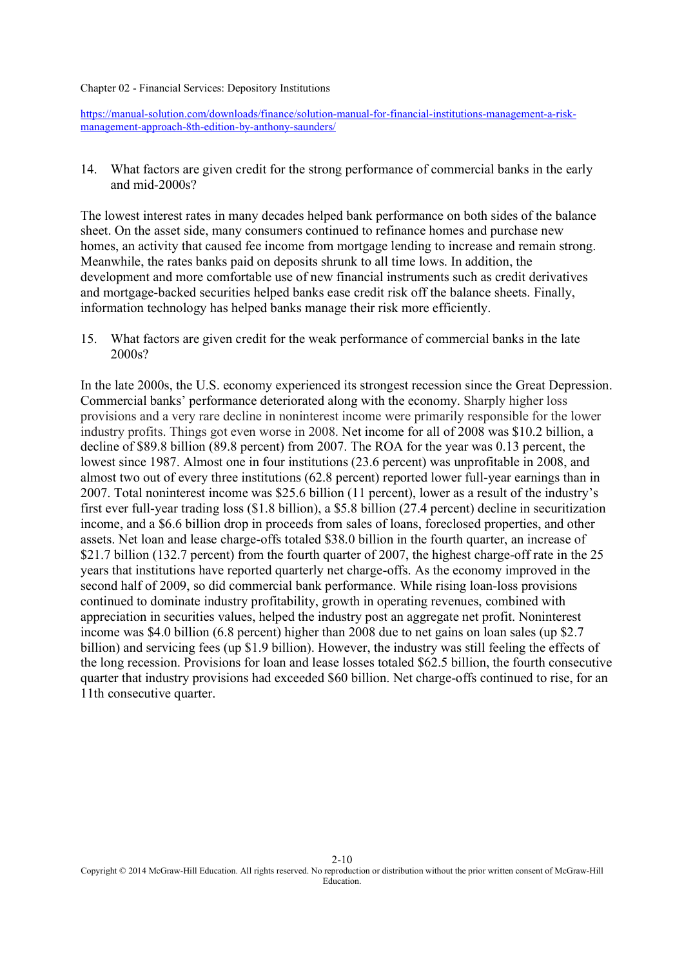https://manual-solution.com/downloads/finance/solution-manual-for-financial-institutions-management-a-riskmanagement-approach-8th-edition-by-anthony-saunders/

14. What factors are given credit for the strong performance of commercial banks in the early and mid-2000s?

The lowest interest rates in many decades helped bank performance on both sides of the balance sheet. On the asset side, many consumers continued to refinance homes and purchase new homes, an activity that caused fee income from mortgage lending to increase and remain strong. Meanwhile, the rates banks paid on deposits shrunk to all time lows. In addition, the development and more comfortable use of new financial instruments such as credit derivatives and mortgage-backed securities helped banks ease credit risk off the balance sheets. Finally, information technology has helped banks manage their risk more efficiently.

15. What factors are given credit for the weak performance of commercial banks in the late 2000s?

In the late 2000s, the U.S. economy experienced its strongest recession since the Great Depression. Commercial banks' performance deteriorated along with the economy. Sharply higher loss provisions and a very rare decline in noninterest income were primarily responsible for the lower industry profits. Things got even worse in 2008. Net income for all of 2008 was \$10.2 billion, a decline of \$89.8 billion (89.8 percent) from 2007. The ROA for the year was 0.13 percent, the lowest since 1987. Almost one in four institutions (23.6 percent) was unprofitable in 2008, and almost two out of every three institutions (62.8 percent) reported lower full-year earnings than in 2007. Total noninterest income was \$25.6 billion (11 percent), lower as a result of the industry's first ever full-year trading loss (\$1.8 billion), a \$5.8 billion (27.4 percent) decline in securitization income, and a \$6.6 billion drop in proceeds from sales of loans, foreclosed properties, and other assets. Net loan and lease charge-offs totaled \$38.0 billion in the fourth quarter, an increase of \$21.7 billion (132.7 percent) from the fourth quarter of 2007, the highest charge-off rate in the 25 years that institutions have reported quarterly net charge-offs. As the economy improved in the second half of 2009, so did commercial bank performance. While rising loan-loss provisions continued to dominate industry profitability, growth in operating revenues, combined with appreciation in securities values, helped the industry post an aggregate net profit. Noninterest income was \$4.0 billion (6.8 percent) higher than 2008 due to net gains on loan sales (up \$2.7 billion) and servicing fees (up \$1.9 billion). However, the industry was still feeling the effects of the long recession. Provisions for loan and lease losses totaled \$62.5 billion, the fourth consecutive quarter that industry provisions had exceeded \$60 billion. Net charge-offs continued to rise, for an 11th consecutive quarter.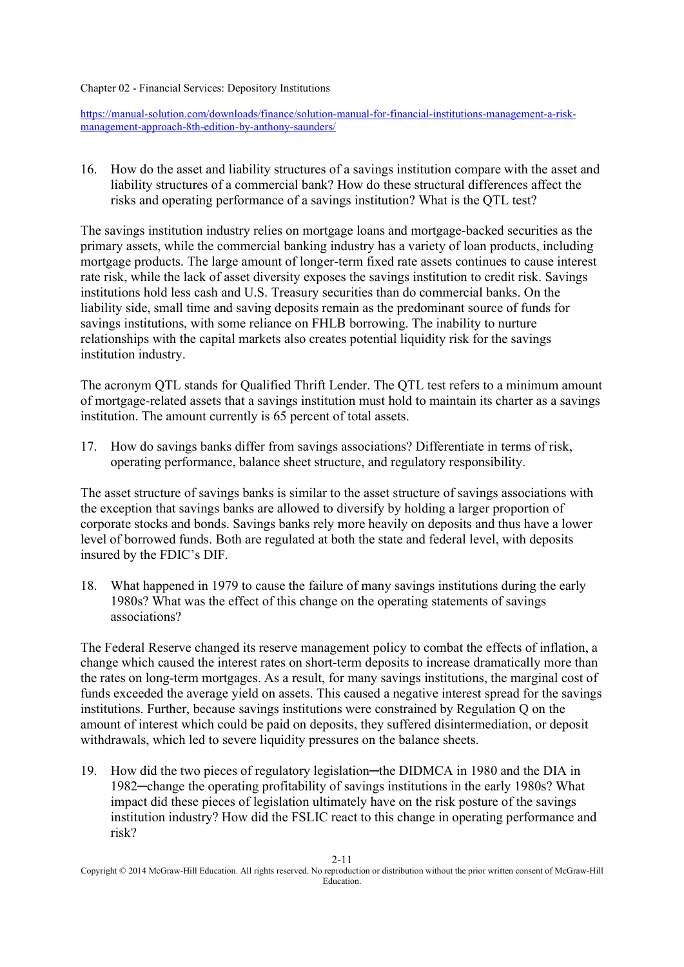https://manual-solution.com/downloads/finance/solution-manual-for-financial-institutions-management-a-riskmanagement-approach-8th-edition-by-anthony-saunders/

16. How do the asset and liability structures of a savings institution compare with the asset and liability structures of a commercial bank? How do these structural differences affect the risks and operating performance of a savings institution? What is the QTL test?

The savings institution industry relies on mortgage loans and mortgage-backed securities as the primary assets, while the commercial banking industry has a variety of loan products, including mortgage products. The large amount of longer-term fixed rate assets continues to cause interest rate risk, while the lack of asset diversity exposes the savings institution to credit risk. Savings institutions hold less cash and U.S. Treasury securities than do commercial banks. On the liability side, small time and saving deposits remain as the predominant source of funds for savings institutions, with some reliance on FHLB borrowing. The inability to nurture relationships with the capital markets also creates potential liquidity risk for the savings institution industry.

The acronym QTL stands for Qualified Thrift Lender. The QTL test refers to a minimum amount of mortgage-related assets that a savings institution must hold to maintain its charter as a savings institution. The amount currently is 65 percent of total assets.

17. How do savings banks differ from savings associations? Differentiate in terms of risk, operating performance, balance sheet structure, and regulatory responsibility.

The asset structure of savings banks is similar to the asset structure of savings associations with the exception that savings banks are allowed to diversify by holding a larger proportion of corporate stocks and bonds. Savings banks rely more heavily on deposits and thus have a lower level of borrowed funds. Both are regulated at both the state and federal level, with deposits insured by the FDIC's DIF.

18. What happened in 1979 to cause the failure of many savings institutions during the early 1980s? What was the effect of this change on the operating statements of savings associations?

The Federal Reserve changed its reserve management policy to combat the effects of inflation, a change which caused the interest rates on short-term deposits to increase dramatically more than the rates on long-term mortgages. As a result, for many savings institutions, the marginal cost of funds exceeded the average yield on assets. This caused a negative interest spread for the savings institutions. Further, because savings institutions were constrained by Regulation Q on the amount of interest which could be paid on deposits, they suffered disintermediation, or deposit withdrawals, which led to severe liquidity pressures on the balance sheets.

19. How did the two pieces of regulatory legislation—the DIDMCA in 1980 and the DIA in 1982─change the operating profitability of savings institutions in the early 1980s? What impact did these pieces of legislation ultimately have on the risk posture of the savings institution industry? How did the FSLIC react to this change in operating performance and risk?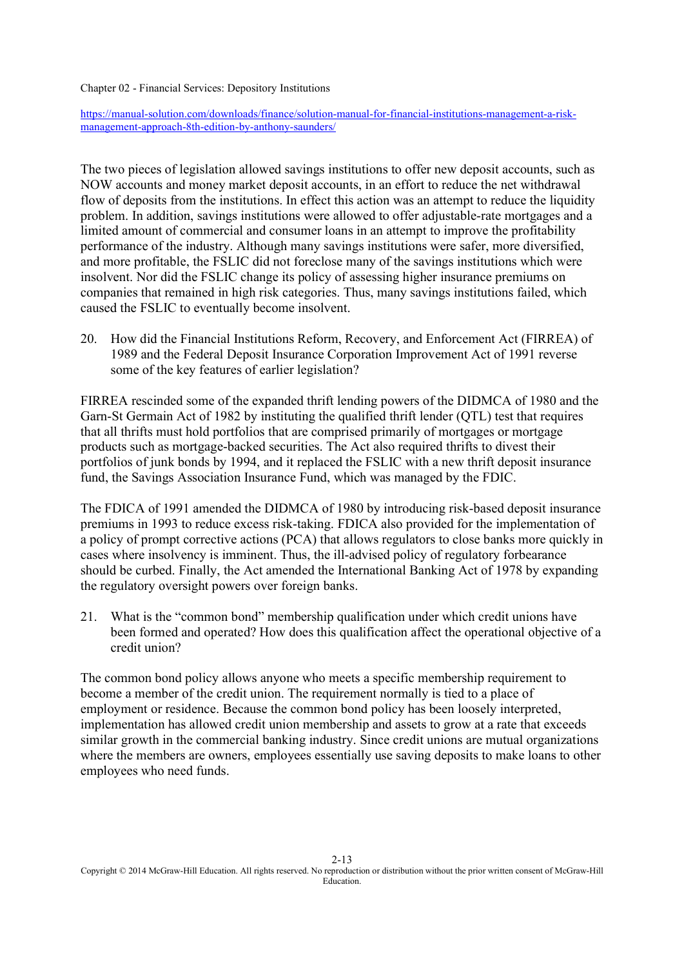https://manual-solution.com/downloads/finance/solution-manual-for-financial-institutions-management-a-riskmanagement-approach-8th-edition-by-anthony-saunders/

The two pieces of legislation allowed savings institutions to offer new deposit accounts, such as NOW accounts and money market deposit accounts, in an effort to reduce the net withdrawal flow of deposits from the institutions. In effect this action was an attempt to reduce the liquidity problem. In addition, savings institutions were allowed to offer adjustable-rate mortgages and a limited amount of commercial and consumer loans in an attempt to improve the profitability performance of the industry. Although many savings institutions were safer, more diversified, and more profitable, the FSLIC did not foreclose many of the savings institutions which were insolvent. Nor did the FSLIC change its policy of assessing higher insurance premiums on companies that remained in high risk categories. Thus, many savings institutions failed, which caused the FSLIC to eventually become insolvent.

20. How did the Financial Institutions Reform, Recovery, and Enforcement Act (FIRREA) of 1989 and the Federal Deposit Insurance Corporation Improvement Act of 1991 reverse some of the key features of earlier legislation?

FIRREA rescinded some of the expanded thrift lending powers of the DIDMCA of 1980 and the Garn-St Germain Act of 1982 by instituting the qualified thrift lender (QTL) test that requires that all thrifts must hold portfolios that are comprised primarily of mortgages or mortgage products such as mortgage-backed securities. The Act also required thrifts to divest their portfolios of junk bonds by 1994, and it replaced the FSLIC with a new thrift deposit insurance fund, the Savings Association Insurance Fund, which was managed by the FDIC.

The FDICA of 1991 amended the DIDMCA of 1980 by introducing risk-based deposit insurance premiums in 1993 to reduce excess risk-taking. FDICA also provided for the implementation of a policy of prompt corrective actions (PCA) that allows regulators to close banks more quickly in cases where insolvency is imminent. Thus, the ill-advised policy of regulatory forbearance should be curbed. Finally, the Act amended the International Banking Act of 1978 by expanding the regulatory oversight powers over foreign banks.

21. What is the "common bond" membership qualification under which credit unions have been formed and operated? How does this qualification affect the operational objective of a credit union?

The common bond policy allows anyone who meets a specific membership requirement to become a member of the credit union. The requirement normally is tied to a place of employment or residence. Because the common bond policy has been loosely interpreted, implementation has allowed credit union membership and assets to grow at a rate that exceeds similar growth in the commercial banking industry. Since credit unions are mutual organizations where the members are owners, employees essentially use saving deposits to make loans to other employees who need funds.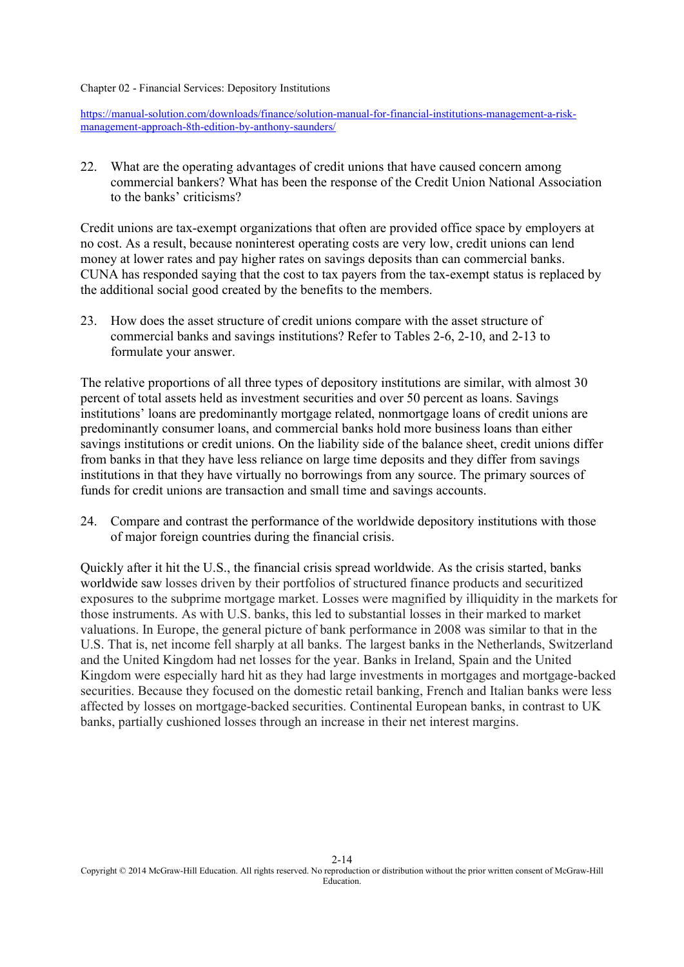https://manual-solution.com/downloads/finance/solution-manual-for-financial-institutions-management-a-riskmanagement-approach-8th-edition-by-anthony-saunders/

22. What are the operating advantages of credit unions that have caused concern among commercial bankers? What has been the response of the Credit Union National Association to the banks' criticisms?

Credit unions are tax-exempt organizations that often are provided office space by employers at no cost. As a result, because noninterest operating costs are very low, credit unions can lend money at lower rates and pay higher rates on savings deposits than can commercial banks. CUNA has responded saying that the cost to tax payers from the tax-exempt status is replaced by the additional social good created by the benefits to the members.

23. How does the asset structure of credit unions compare with the asset structure of commercial banks and savings institutions? Refer to Tables 2-6, 2-10, and 2-13 to formulate your answer.

The relative proportions of all three types of depository institutions are similar, with almost 30 percent of total assets held as investment securities and over 50 percent as loans. Savings institutions' loans are predominantly mortgage related, nonmortgage loans of credit unions are predominantly consumer loans, and commercial banks hold more business loans than either savings institutions or credit unions. On the liability side of the balance sheet, credit unions differ from banks in that they have less reliance on large time deposits and they differ from savings institutions in that they have virtually no borrowings from any source. The primary sources of funds for credit unions are transaction and small time and savings accounts.

24. Compare and contrast the performance of the worldwide depository institutions with those of major foreign countries during the financial crisis.

Quickly after it hit the U.S., the financial crisis spread worldwide. As the crisis started, banks worldwide saw losses driven by their portfolios of structured finance products and securitized exposures to the subprime mortgage market. Losses were magnified by illiquidity in the markets for those instruments. As with U.S. banks, this led to substantial losses in their marked to market valuations. In Europe, the general picture of bank performance in 2008 was similar to that in the U.S. That is, net income fell sharply at all banks. The largest banks in the Netherlands, Switzerland and the United Kingdom had net losses for the year. Banks in Ireland, Spain and the United Kingdom were especially hard hit as they had large investments in mortgages and mortgage-backed securities. Because they focused on the domestic retail banking, French and Italian banks were less affected by losses on mortgage-backed securities. Continental European banks, in contrast to UK banks, partially cushioned losses through an increase in their net interest margins.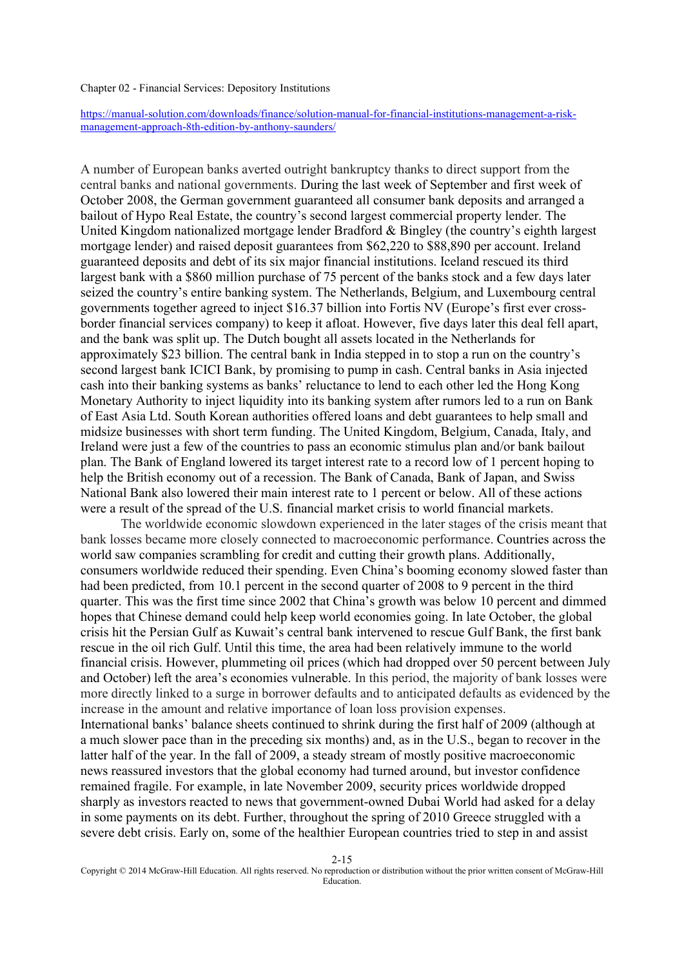https://manual-solution.com/downloads/finance/solution-manual-for-financial-institutions-management-a-riskmanagement-approach-8th-edition-by-anthony-saunders/

A number of European banks averted outright bankruptcy thanks to direct support from the central banks and national governments. During the last week of September and first week of October 2008, the German government guaranteed all consumer bank deposits and arranged a bailout of Hypo Real Estate, the country's second largest commercial property lender. The United Kingdom nationalized mortgage lender Bradford & Bingley (the country's eighth largest mortgage lender) and raised deposit guarantees from \$62,220 to \$88,890 per account. Ireland guaranteed deposits and debt of its six major financial institutions. Iceland rescued its third largest bank with a \$860 million purchase of 75 percent of the banks stock and a few days later seized the country's entire banking system. The Netherlands, Belgium, and Luxembourg central governments together agreed to inject \$16.37 billion into Fortis NV (Europe's first ever crossborder financial services company) to keep it afloat. However, five days later this deal fell apart, and the bank was split up. The Dutch bought all assets located in the Netherlands for approximately \$23 billion. The central bank in India stepped in to stop a run on the country's second largest bank ICICI Bank, by promising to pump in cash. Central banks in Asia injected cash into their banking systems as banks' reluctance to lend to each other led the Hong Kong Monetary Authority to inject liquidity into its banking system after rumors led to a run on Bank of East Asia Ltd. South Korean authorities offered loans and debt guarantees to help small and midsize businesses with short term funding. The United Kingdom, Belgium, Canada, Italy, and Ireland were just a few of the countries to pass an economic stimulus plan and/or bank bailout plan. The Bank of England lowered its target interest rate to a record low of 1 percent hoping to help the British economy out of a recession. The Bank of Canada, Bank of Japan, and Swiss National Bank also lowered their main interest rate to 1 percent or below. All of these actions were a result of the spread of the U.S. financial market crisis to world financial markets.

The worldwide economic slowdown experienced in the later stages of the crisis meant that bank losses became more closely connected to macroeconomic performance. Countries across the world saw companies scrambling for credit and cutting their growth plans. Additionally, consumers worldwide reduced their spending. Even China's booming economy slowed faster than had been predicted, from 10.1 percent in the second quarter of 2008 to 9 percent in the third quarter. This was the first time since 2002 that China's growth was below 10 percent and dimmed hopes that Chinese demand could help keep world economies going. In late October, the global crisis hit the Persian Gulf as Kuwait's central bank intervened to rescue Gulf Bank, the first bank rescue in the oil rich Gulf. Until this time, the area had been relatively immune to the world financial crisis. However, plummeting oil prices (which had dropped over 50 percent between July and October) left the area's economies vulnerable. In this period, the majority of bank losses were more directly linked to a surge in borrower defaults and to anticipated defaults as evidenced by the increase in the amount and relative importance of loan loss provision expenses. International banks' balance sheets continued to shrink during the first half of 2009 (although at a much slower pace than in the preceding six months) and, as in the U.S., began to recover in the latter half of the year. In the fall of 2009, a steady stream of mostly positive macroeconomic news reassured investors that the global economy had turned around, but investor confidence remained fragile. For example, in late November 2009, security prices worldwide dropped sharply as investors reacted to news that government-owned Dubai World had asked for a delay in some payments on its debt. Further, throughout the spring of 2010 Greece struggled with a severe debt crisis. Early on, some of the healthier European countries tried to step in and assist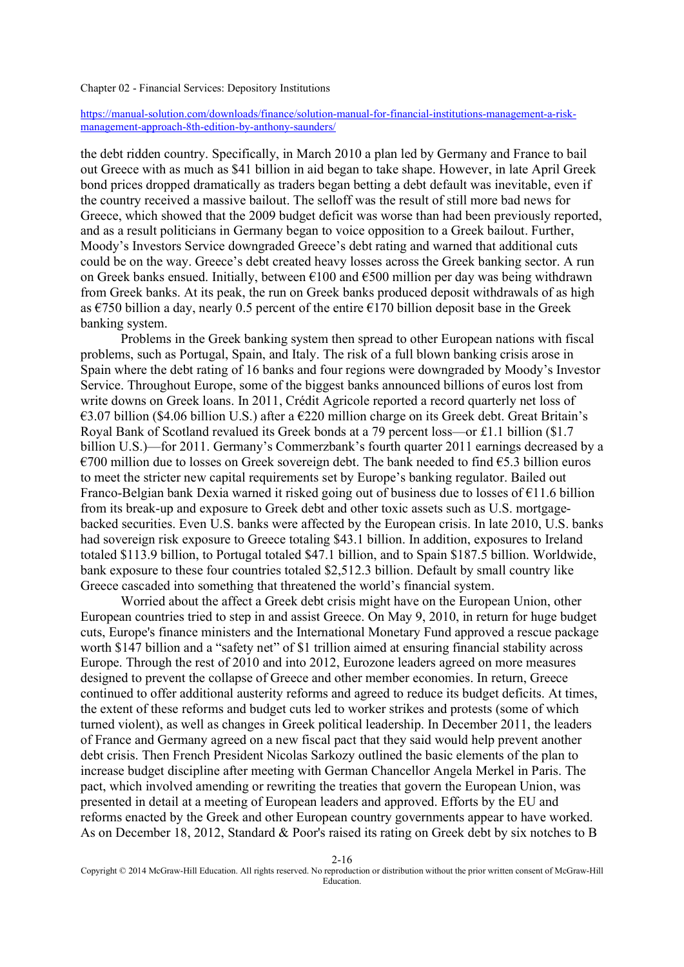https://manual-solution.com/downloads/finance/solution-manual-for-financial-institutions-management-a-riskmanagement-approach-8th-edition-by-anthony-saunders/

the debt ridden country. Specifically, in March 2010 a plan led by Germany and France to bail out Greece with as much as \$41 billion in aid began to take shape. However, in late April Greek bond prices dropped dramatically as traders began betting a debt default was inevitable, even if the country received a massive bailout. The selloff was the result of still more bad news for Greece, which showed that the 2009 budget deficit was worse than had been previously reported, and as a result politicians in Germany began to voice opposition to a Greek bailout. Further, Moody's Investors Service downgraded Greece's debt rating and warned that additional cuts could be on the way. Greece's debt created heavy losses across the Greek banking sector. A run on Greek banks ensued. Initially, between  $\epsilon$ 100 and  $\epsilon$ 500 million per day was being withdrawn from Greek banks. At its peak, the run on Greek banks produced deposit withdrawals of as high as  $\epsilon$ 750 billion a day, nearly 0.5 percent of the entire  $\epsilon$ 170 billion deposit base in the Greek banking system.

 Problems in the Greek banking system then spread to other European nations with fiscal problems, such as Portugal, Spain, and Italy. The risk of a full blown banking crisis arose in Spain where the debt rating of 16 banks and four regions were downgraded by Moody's Investor Service. Throughout Europe, some of the biggest banks announced billions of euros lost from write downs on Greek loans. In 2011, Crédit Agricole reported a record quarterly net loss of  $€3.07$  billion (\$4.06 billion U.S.) after a  $€220$  million charge on its Greek debt. Great Britain's Royal Bank of Scotland revalued its Greek bonds at a 79 percent loss—or £1.1 billion (\$1.7 billion U.S.)—for 2011. Germany's Commerzbank's fourth quarter 2011 earnings decreased by a  $\epsilon$ 700 million due to losses on Greek sovereign debt. The bank needed to find  $\epsilon$ 5.3 billion euros to meet the stricter new capital requirements set by Europe's banking regulator. Bailed out Franco-Belgian bank Dexia warned it risked going out of business due to losses of  $\epsilon$ 11.6 billion from its break-up and exposure to Greek debt and other toxic assets such as U.S. mortgagebacked securities. Even U.S. banks were affected by the European crisis. In late 2010, U.S. banks had sovereign risk exposure to Greece totaling \$43.1 billion. In addition, exposures to Ireland totaled \$113.9 billion, to Portugal totaled \$47.1 billion, and to Spain \$187.5 billion. Worldwide, bank exposure to these four countries totaled \$2,512.3 billion. Default by small country like Greece cascaded into something that threatened the world's financial system.

 Worried about the affect a Greek debt crisis might have on the European Union, other European countries tried to step in and assist Greece. On May 9, 2010, in return for huge budget cuts, Europe's finance ministers and the International Monetary Fund approved a rescue package worth \$147 billion and a "safety net" of \$1 trillion aimed at ensuring financial stability across Europe. Through the rest of 2010 and into 2012, Eurozone leaders agreed on more measures designed to prevent the collapse of Greece and other member economies. In return, Greece continued to offer additional austerity reforms and agreed to reduce its budget deficits. At times, the extent of these reforms and budget cuts led to worker strikes and protests (some of which turned violent), as well as changes in Greek political leadership. In December 2011, the leaders of France and Germany agreed on a new fiscal pact that they said would help prevent another debt crisis. Then French President Nicolas Sarkozy outlined the basic elements of the plan to increase budget discipline after meeting with German Chancellor Angela Merkel in Paris. The pact, which involved amending or rewriting the treaties that govern the European Union, was presented in detail at a meeting of European leaders and approved. Efforts by the EU and reforms enacted by the Greek and other European country governments appear to have worked. As on December 18, 2012, Standard & Poor's raised its rating on Greek debt by six notches to B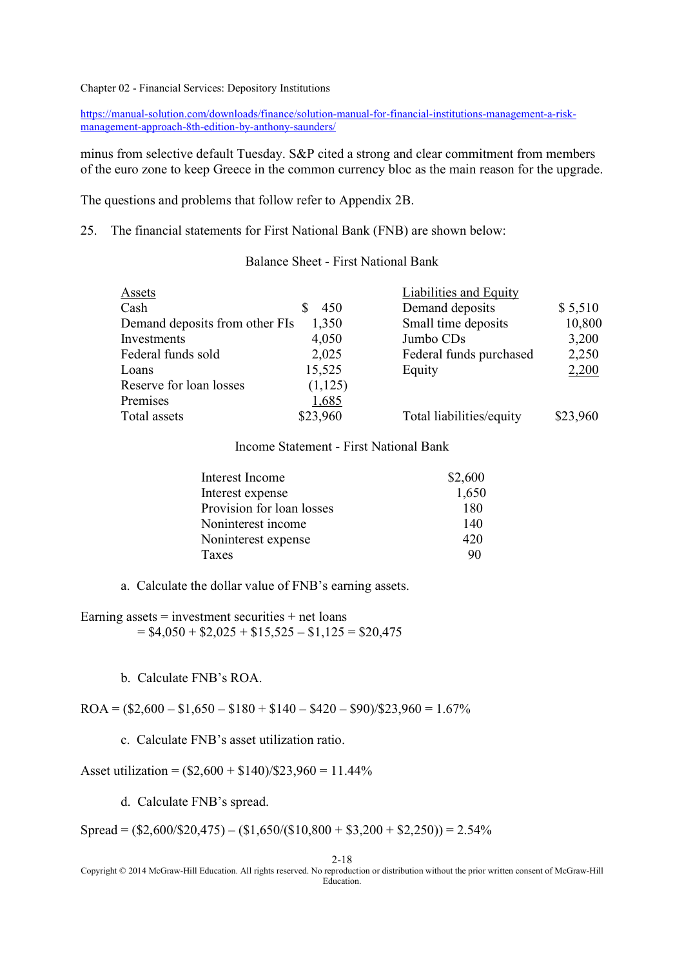https://manual-solution.com/downloads/finance/solution-manual-for-financial-institutions-management-a-riskmanagement-approach-8th-edition-by-anthony-saunders/

minus from selective default Tuesday. S&P cited a strong and clear commitment from members of the euro zone to keep Greece in the common currency bloc as the main reason for the upgrade.

The questions and problems that follow refer to Appendix 2B.

25. The financial statements for First National Bank (FNB) are shown below:

## Balance Sheet - First National Bank

| Assets                         |          | <b>Liabilities and Equity</b> |          |
|--------------------------------|----------|-------------------------------|----------|
| Cash                           | 450      | Demand deposits               | \$5,510  |
| Demand deposits from other FIs | 1,350    | Small time deposits           | 10,800   |
| Investments                    | 4,050    | Jumbo CDs                     | 3,200    |
| Federal funds sold             | 2,025    | Federal funds purchased       | 2,250    |
| Loans                          | 15,525   | Equity                        | 2,200    |
| Reserve for loan losses        | (1,125)  |                               |          |
| Premises                       | 1,685    |                               |          |
| Total assets                   | \$23,960 | Total liabilities/equity      | \$23,960 |
|                                |          |                               |          |

# Income Statement - First National Bank

| Interest Income           | \$2,600 |
|---------------------------|---------|
| Interest expense          | 1,650   |
| Provision for loan losses | 180     |
| Noninterest income        | 140     |
| Noninterest expense       | 420     |
| Taxes                     | 90      |

a. Calculate the dollar value of FNB's earning assets.

Earning assets  $=$  investment securities  $+$  net loans  $= $4,050 + $2,025 + $15,525 - $1,125 = $20,475$ 

b. Calculate FNB's ROA.

 $ROA = (\$2,600 - \$1,650 - \$180 + \$140 - \$420 - \$90) \times 23,960 = 1.67\%$ 

c. Calculate FNB's asset utilization ratio.

Asset utilization =  $(\$2,600 + \$140)/\$23,960 = 11.44\%$ 

d. Calculate FNB's spread.

Spread =  $(\$2,600/\$20,475) - (\$1,650/(\$10,800 + \$3,200 + \$2,250)) = 2.54\%$ 

2-18

Copyright © 2014 McGraw-Hill Education. All rights reserved. No reproduction or distribution without the prior written consent of McGraw-Hill Education.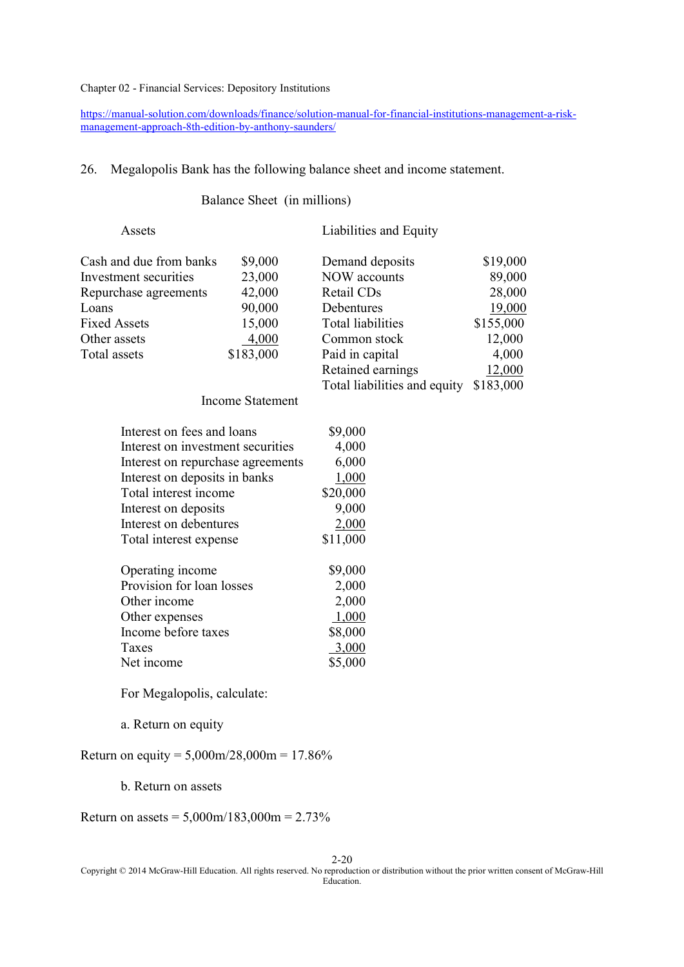https://manual-solution.com/downloads/finance/solution-manual-for-financial-institutions-management-a-riskmanagement-approach-8th-edition-by-anthony-saunders/

# 26. Megalopolis Bank has the following balance sheet and income statement.

## Balance Sheet (in millions)

| Assets                            |                         | Liabilities and Equity       |           |
|-----------------------------------|-------------------------|------------------------------|-----------|
| Cash and due from banks           | \$9,000                 | Demand deposits              | \$19,000  |
| Investment securities             | 23,000                  | <b>NOW</b> accounts          | 89,000    |
| Repurchase agreements             | 42,000                  | Retail CDs                   | 28,000    |
| Loans                             | 90,000                  | Debentures                   | 19,000    |
| <b>Fixed Assets</b>               | 15,000                  | <b>Total liabilities</b>     | \$155,000 |
| Other assets                      | 4,000                   | Common stock                 | 12,000    |
| Total assets                      | \$183,000               | Paid in capital              | 4,000     |
|                                   |                         | Retained earnings            | 12,000    |
|                                   |                         | Total liabilities and equity | \$183,000 |
|                                   | <b>Income Statement</b> |                              |           |
| Interest on fees and loans        |                         | \$9,000                      |           |
| Interest on investment securities |                         | 4,000                        |           |
| Interest on repurchase agreements |                         | 6,000                        |           |
| Interest on deposits in banks     |                         | 1,000                        |           |
| Total interest income             |                         | \$20,000                     |           |
| Interest on deposits              |                         | 9,000                        |           |
| Interest on debentures            |                         | 2,000                        |           |
| Total interest expense            |                         | \$11,000                     |           |
| Operating income                  |                         |                              |           |
| Provision for loan losses         |                         | 2,000                        |           |
| Other income                      |                         | 2,000                        |           |
| Other expenses                    |                         | 1,000                        |           |
| Income before taxes               |                         | \$8,000                      |           |
| Taxes                             |                         | 3,000                        |           |
| Net income                        |                         | \$5,000                      |           |
| For Megalopolis, calculate:       |                         |                              |           |
| a. Return on equity               |                         |                              |           |

Return on equity =  $5,000$ m/28,000m = 17.86%

b. Return on assets

Return on assets =  $5,000$ m/183,000m =  $2.73\%$